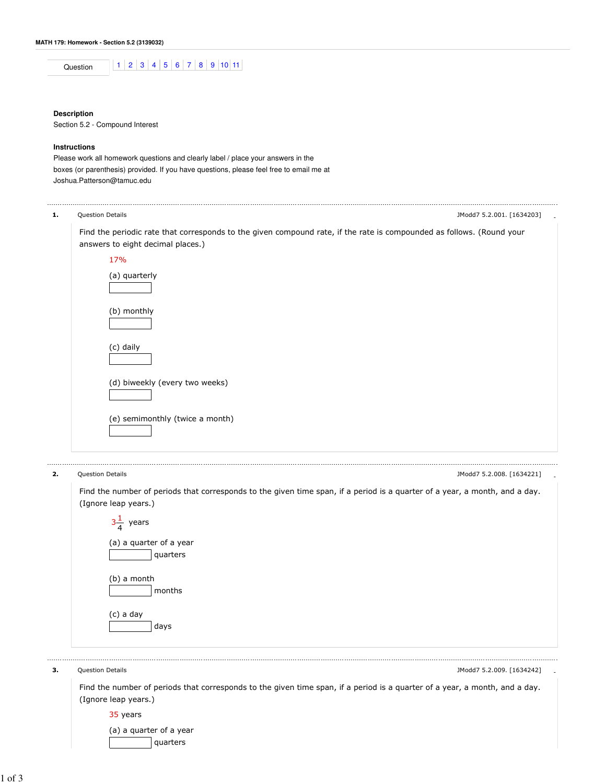|--|

## **Description**

Section 5.2 - Compound Interest

## **Instructions**

Please work all homework questions and clearly label / place your answers in the boxes (or parenthesis) provided. If you have questions, please feel free to email me at Joshua.Patterson@tamuc.edu



2. Question Details - JModd7 5.2.008. [1634221]

Find the number of periods that corresponds to the given time span, if a period is a quarter of a year, a month, and a day. (Ignore leap years.)

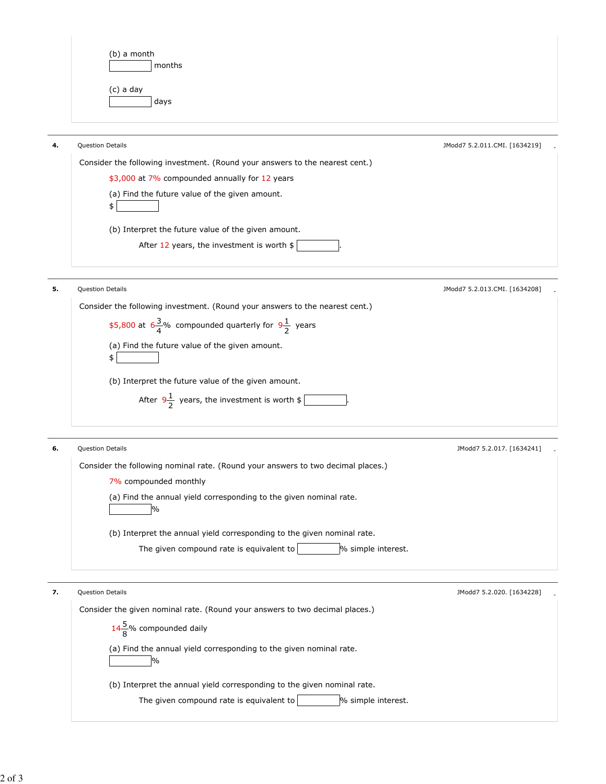| (b) a month<br>months |  |
|-----------------------|--|
| (c) a day<br>days     |  |

| 4. | <b>Question Details</b>                                                      | JModd7 5.2.011.CMI. [1634219] |
|----|------------------------------------------------------------------------------|-------------------------------|
|    | Consider the following investment. (Round your answers to the nearest cent.) |                               |
|    | \$3,000 at 7% compounded annually for 12 years                               |                               |
|    | (a) Find the future value of the given amount.                               |                               |
|    | (b) Interpret the future value of the given amount.                          |                               |
|    | After 12 years, the investment is worth \$                                   |                               |
|    |                                                                              |                               |
| 5. | <b>Question Details</b>                                                      | JModd7 5.2.013.CMI. [1634208] |
|    | Consider the following investment. (Round your answers to the nearest cent.) |                               |

| Consider the following investment. Tround your diswers to the hearest cent. |
|-----------------------------------------------------------------------------|
| \$5,800 at $\frac{3}{4}$ % compounded quarterly for $9\frac{1}{2}$ years    |
| (a) Find the future value of the given amount.                              |
| \$                                                                          |
| (b) Interpret the future value of the given amount.                         |
| After $9\frac{1}{2}$ years, the investment is worth \$                      |
|                                                                             |
|                                                                             |

| 6. | <b>Question Details</b>                                                          | JModd7 5.2.017. [1634241] |  |
|----|----------------------------------------------------------------------------------|---------------------------|--|
|    | Consider the following nominal rate. (Round your answers to two decimal places.) |                           |  |
|    | 7% compounded monthly                                                            |                           |  |
|    | (a) Find the annual yield corresponding to the given nominal rate.<br>$\%$       |                           |  |
|    | (b) Interpret the annual yield corresponding to the given nominal rate.          |                           |  |
|    | The given compound rate is equivalent to<br>% simple interest.                   |                           |  |
|    |                                                                                  |                           |  |

| 7. | <b>Question Details</b>                                                      | JModd7 5.2.020. [1634228] |  |
|----|------------------------------------------------------------------------------|---------------------------|--|
|    | Consider the given nominal rate. (Round your answers to two decimal places.) |                           |  |
|    | $14\frac{5}{9}$ % compounded daily                                           |                           |  |
|    | (a) Find the annual yield corresponding to the given nominal rate.<br>$\%$   |                           |  |
|    | (b) Interpret the annual yield corresponding to the given nominal rate.      |                           |  |
|    | % simple interest.<br>The given compound rate is equivalent to               |                           |  |
|    |                                                                              |                           |  |